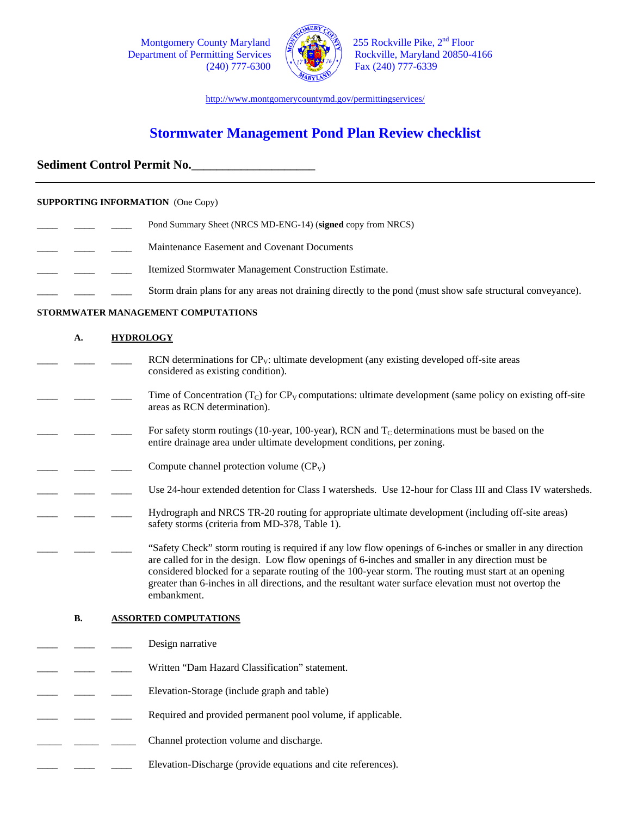Department of Permitting Services



Montgomery County Maryland  $\left(\begin{matrix} 2\sqrt{14.1} \\ 1\sqrt{14.1} \\ 2.55 \end{matrix}\right)$  255 Rockville Pike, 2<sup>nd</sup> Floor Poetrinent of Permitting Services  $(240)$  777-6300  $\sqrt{240}$  Fax (240) 777-6339

http://www.montgomerycountymd.gov/permittingservices/

# **Stormwater Management Pond Plan Review checklist**

# **Sediment Control Permit No.\_\_\_\_\_\_\_\_\_\_\_\_\_\_\_\_\_\_\_\_**

### **SUPPORTING INFORMATION** (One Copy)

- Pond Summary Sheet (NRCS MD-ENG-14) (signed copy from NRCS) \_\_\_\_ \_\_\_\_ \_\_\_\_ Maintenance Easement and Covenant Documents **Lackson** Itemized Stormwater Management Construction Estimate.
- Storm drain plans for any areas not draining directly to the pond (must show safe structural conveyance).

### **STORMWATER MANAGEMENT COMPUTATIONS**

| A.                                        |  | <b>HYDROLOGY</b>                                                                                                                                                                                                                                                                                                                                                                                                                                 |  |  |  |
|-------------------------------------------|--|--------------------------------------------------------------------------------------------------------------------------------------------------------------------------------------------------------------------------------------------------------------------------------------------------------------------------------------------------------------------------------------------------------------------------------------------------|--|--|--|
|                                           |  | RCN determinations for $CPV$ : ultimate development (any existing developed off-site areas<br>considered as existing condition).                                                                                                                                                                                                                                                                                                                 |  |  |  |
|                                           |  | Time of Concentration $(T_C)$ for $CP_V$ computations: ultimate development (same policy on existing off-site<br>areas as RCN determination).                                                                                                                                                                                                                                                                                                    |  |  |  |
|                                           |  | For safety storm routings (10-year, 100-year), RCN and $T_c$ determinations must be based on the<br>entire drainage area under ultimate development conditions, per zoning.                                                                                                                                                                                                                                                                      |  |  |  |
|                                           |  | Compute channel protection volume $(CP_V)$                                                                                                                                                                                                                                                                                                                                                                                                       |  |  |  |
|                                           |  | Use 24-hour extended detention for Class I watersheds. Use 12-hour for Class III and Class IV watersheds.                                                                                                                                                                                                                                                                                                                                        |  |  |  |
|                                           |  | Hydrograph and NRCS TR-20 routing for appropriate ultimate development (including off-site areas)<br>safety storms (criteria from MD-378, Table 1).                                                                                                                                                                                                                                                                                              |  |  |  |
|                                           |  | "Safety Check" storm routing is required if any low flow openings of 6-inches or smaller in any direction<br>are called for in the design. Low flow openings of 6-inches and smaller in any direction must be<br>considered blocked for a separate routing of the 100-year storm. The routing must start at an opening<br>greater than 6-inches in all directions, and the resultant water surface elevation must not overtop the<br>embankment. |  |  |  |
| <b>B.</b><br><b>ASSORTED COMPUTATIONS</b> |  |                                                                                                                                                                                                                                                                                                                                                                                                                                                  |  |  |  |
|                                           |  | Design narrative                                                                                                                                                                                                                                                                                                                                                                                                                                 |  |  |  |
|                                           |  | Written "Dam Hazard Classification" statement.                                                                                                                                                                                                                                                                                                                                                                                                   |  |  |  |
|                                           |  | Elevation-Storage (include graph and table)                                                                                                                                                                                                                                                                                                                                                                                                      |  |  |  |
|                                           |  | Required and provided permanent pool volume, if applicable.                                                                                                                                                                                                                                                                                                                                                                                      |  |  |  |
|                                           |  | Channel protection volume and discharge.                                                                                                                                                                                                                                                                                                                                                                                                         |  |  |  |
|                                           |  | Elevation-Discharge (provide equations and cite references).                                                                                                                                                                                                                                                                                                                                                                                     |  |  |  |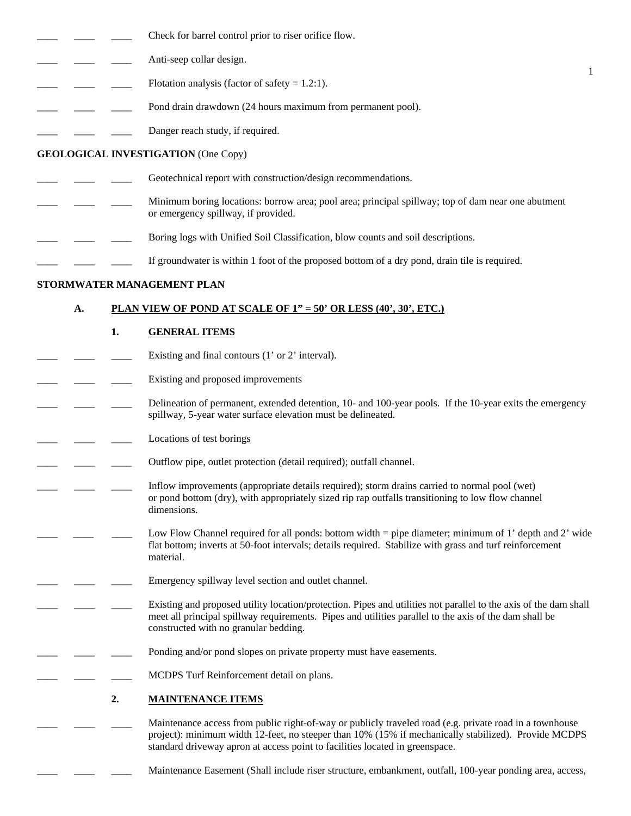|  |  |  | Check for barrel control prior to riser orifice flow. |
|--|--|--|-------------------------------------------------------|
|--|--|--|-------------------------------------------------------|

- Anti-seep collar design.
- Flotation analysis (factor of safety  $= 1.2:1$ ).
- Pond drain drawdown (24 hours maximum from permanent pool).
- Danger reach study, if required.

### **GEOLOGICAL INVESTIGATION** (One Copy)

- Geotechnical report with construction/design recommendations.
- \_\_\_\_ \_\_\_\_ \_\_\_\_ Minimum boring locations: borrow area; pool area; principal spillway; top of dam near one abutment or emergency spillway, if provided.

1

- Boring logs with Unified Soil Classification, blow counts and soil descriptions.
- If groundwater is within 1 foot of the proposed bottom of a dry pond, drain tile is required.

### **STORMWATER MANAGEMENT PLAN**

### **A. PLAN VIEW OF POND AT SCALE OF 1" = 50' OR LESS (40', 30', ETC.)**

### **1. GENERAL ITEMS**

- Existing and final contours  $(1'$  or  $2'$  interval).
- Existing and proposed improvements
- Delineation of permanent, extended detention, 10- and 100-year pools. If the 10-year exits the emergency spillway, 5-year water surface elevation must be delineated.
- Locations of test borings
- Outflow pipe, outlet protection (detail required); outfall channel.
- Inflow improvements (appropriate details required); storm drains carried to normal pool (wet) or pond bottom (dry), with appropriately sized rip rap outfalls transitioning to low flow channel dimensions.
- Low Flow Channel required for all ponds: bottom width = pipe diameter; minimum of 1' depth and 2' wide flat bottom; inverts at 50-foot intervals; details required. Stabilize with grass and turf reinforcement material.
- Emergency spillway level section and outlet channel.
- Existing and proposed utility location/protection. Pipes and utilities not parallel to the axis of the dam shall meet all principal spillway requirements. Pipes and utilities parallel to the axis of the dam shall be constructed with no granular bedding.
	- Ponding and/or pond slopes on private property must have easements.
		- MCDPS Turf Reinforcement detail on plans.

### **2. MAINTENANCE ITEMS**

- Maintenance access from public right-of-way or publicly traveled road (e.g. private road in a townhouse project): minimum width 12-feet, no steeper than 10% (15% if mechanically stabilized). Provide MCDPS standard driveway apron at access point to facilities located in greenspace.
- Maintenance Easement (Shall include riser structure, embankment, outfall, 100-year ponding area, access,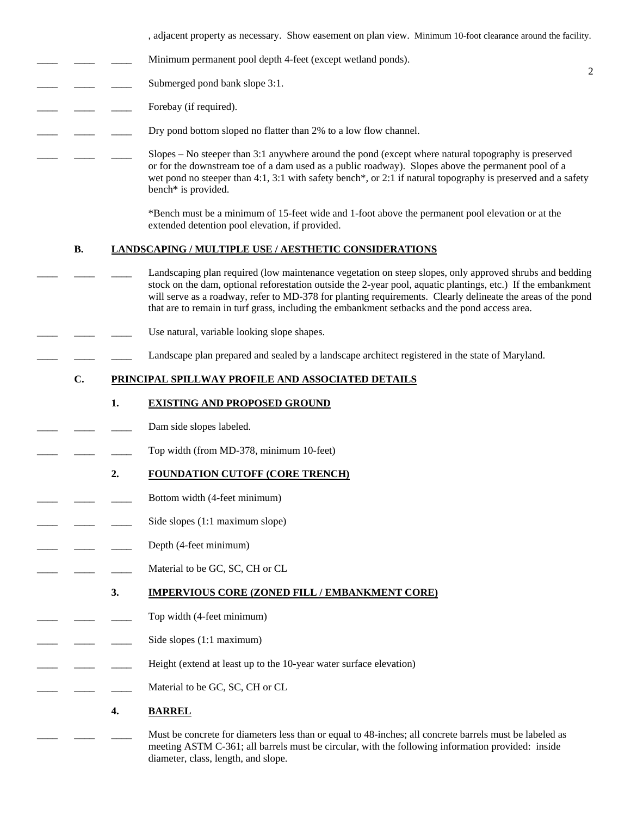, adjacent property as necessary. Show easement on plan view. Minimum 10-foot clearance around the facility.

2

- Minimum permanent pool depth 4-feet (except wetland ponds).
- Submerged pond bank slope 3:1.
- Forebay (if required).
	- Dry pond bottom sloped no flatter than 2% to a low flow channel.
		- $Slopes No steeper than 3:1$  anywhere around the pond (except where natural topography is preserved or for the downstream toe of a dam used as a public roadway). Slopes above the permanent pool of a wet pond no steeper than 4:1, 3:1 with safety bench<sup>\*</sup>, or 2:1 if natural topography is preserved and a safety bench\* is provided.

 \*Bench must be a minimum of 15-feet wide and 1-foot above the permanent pool elevation or at the extended detention pool elevation, if provided.

### **B. LANDSCAPING / MULTIPLE USE / AESTHETIC CONSIDERATIONS**

- Landscaping plan required (low maintenance vegetation on steep slopes, only approved shrubs and bedding stock on the dam, optional reforestation outside the 2-year pool, aquatic plantings, etc.) If the embankment will serve as a roadway, refer to MD-378 for planting requirements. Clearly delineate the areas of the pond that are to remain in turf grass, including the embankment setbacks and the pond access area.
- Use natural, variable looking slope shapes.
	- Landscape plan prepared and sealed by a landscape architect registered in the state of Maryland.

## **C. PRINCIPAL SPILLWAY PROFILE AND ASSOCIATED DETAILS**

#### **1. EXISTING AND PROPOSED GROUND**

- Dam side slopes labeled.
- Top width (from MD-378, minimum 10-feet)

#### **2. FOUNDATION CUTOFF (CORE TRENCH)**

- Bottom width (4-feet minimum)
- Side slopes (1:1 maximum slope)
- Depth (4-feet minimum)
- Material to be GC, SC, CH or CL

#### **3. IMPERVIOUS CORE (ZONED FILL / EMBANKMENT CORE)**

- Top width (4-feet minimum)
	- Side slopes (1:1 maximum)
	- Height (extend at least up to the 10-year water surface elevation)
- Material to be GC, SC, CH or CL

### **4. BARREL**

Must be concrete for diameters less than or equal to 48-inches; all concrete barrels must be labeled as meeting ASTM C-361; all barrels must be circular, with the following information provided: inside diameter, class, length, and slope.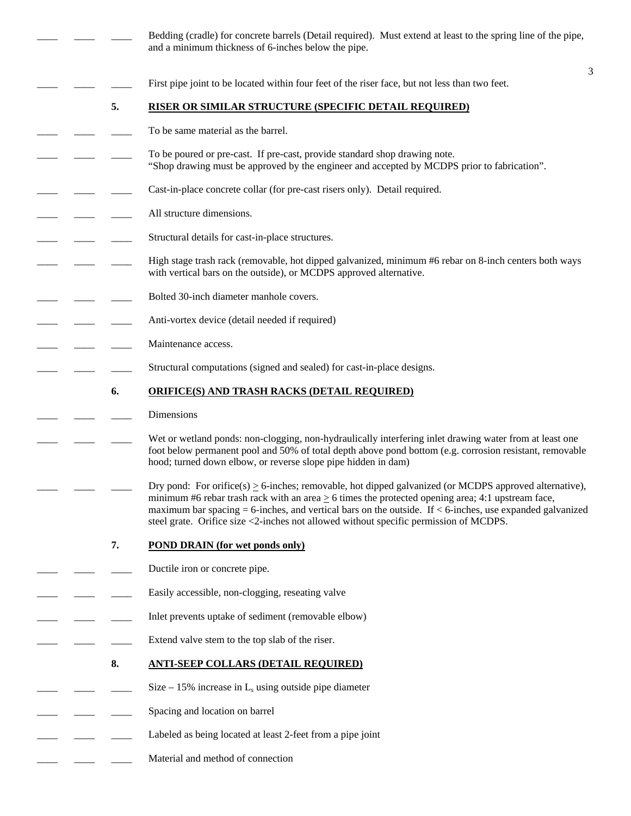|  |    | Bedding (cradle) for concrete barrels (Detail required). Must extend at least to the spring line of the pipe,<br>and a minimum thickness of 6-inches below the pipe.                                                                                                                                                                                                                                                             |   |
|--|----|----------------------------------------------------------------------------------------------------------------------------------------------------------------------------------------------------------------------------------------------------------------------------------------------------------------------------------------------------------------------------------------------------------------------------------|---|
|  |    |                                                                                                                                                                                                                                                                                                                                                                                                                                  | 3 |
|  |    | First pipe joint to be located within four feet of the riser face, but not less than two feet.                                                                                                                                                                                                                                                                                                                                   |   |
|  | 5. | <b>RISER OR SIMILAR STRUCTURE (SPECIFIC DETAIL REQUIRED)</b>                                                                                                                                                                                                                                                                                                                                                                     |   |
|  |    | To be same material as the barrel.                                                                                                                                                                                                                                                                                                                                                                                               |   |
|  |    | To be poured or pre-cast. If pre-cast, provide standard shop drawing note.<br>"Shop drawing must be approved by the engineer and accepted by MCDPS prior to fabrication".                                                                                                                                                                                                                                                        |   |
|  |    | Cast-in-place concrete collar (for pre-cast risers only). Detail required.                                                                                                                                                                                                                                                                                                                                                       |   |
|  |    | All structure dimensions.                                                                                                                                                                                                                                                                                                                                                                                                        |   |
|  |    | Structural details for cast-in-place structures.                                                                                                                                                                                                                                                                                                                                                                                 |   |
|  |    | High stage trash rack (removable, hot dipped galvanized, minimum #6 rebar on 8-inch centers both ways<br>with vertical bars on the outside), or MCDPS approved alternative.                                                                                                                                                                                                                                                      |   |
|  |    | Bolted 30-inch diameter manhole covers.                                                                                                                                                                                                                                                                                                                                                                                          |   |
|  |    | Anti-vortex device (detail needed if required)                                                                                                                                                                                                                                                                                                                                                                                   |   |
|  |    | Maintenance access.                                                                                                                                                                                                                                                                                                                                                                                                              |   |
|  |    | Structural computations (signed and sealed) for cast-in-place designs.                                                                                                                                                                                                                                                                                                                                                           |   |
|  | 6. | <b>ORIFICE(S) AND TRASH RACKS (DETAIL REQUIRED)</b>                                                                                                                                                                                                                                                                                                                                                                              |   |
|  |    | Dimensions                                                                                                                                                                                                                                                                                                                                                                                                                       |   |
|  |    | Wet or wetland ponds: non-clogging, non-hydraulically interfering inlet drawing water from at least one<br>foot below permanent pool and 50% of total depth above pond bottom (e.g. corrosion resistant, removable<br>hood; turned down elbow, or reverse slope pipe hidden in dam)                                                                                                                                              |   |
|  |    | Dry pond: For orifice(s) $\geq$ 6-inches; removable, hot dipped galvanized (or MCDPS approved alternative),<br>minimum #6 rebar trash rack with an area $\geq 6$ times the protected opening area; 4:1 upstream face,<br>maximum bar spacing $= 6$ -inches, and vertical bars on the outside. If $< 6$ -inches, use expanded galvanized<br>steel grate. Orifice size <2-inches not allowed without specific permission of MCDPS. |   |
|  | 7. | <b>POND DRAIN</b> (for wet ponds only)                                                                                                                                                                                                                                                                                                                                                                                           |   |
|  |    | Ductile iron or concrete pipe.                                                                                                                                                                                                                                                                                                                                                                                                   |   |
|  |    | Easily accessible, non-clogging, reseating valve                                                                                                                                                                                                                                                                                                                                                                                 |   |
|  |    | Inlet prevents uptake of sediment (removable elbow)                                                                                                                                                                                                                                                                                                                                                                              |   |
|  |    | Extend valve stem to the top slab of the riser.                                                                                                                                                                                                                                                                                                                                                                                  |   |
|  | 8. | <b>ANTI-SEEP COLLARS (DETAIL REQUIRED)</b>                                                                                                                                                                                                                                                                                                                                                                                       |   |
|  |    | Size $-15\%$ increase in L <sub>s</sub> using outside pipe diameter                                                                                                                                                                                                                                                                                                                                                              |   |
|  |    | Spacing and location on barrel                                                                                                                                                                                                                                                                                                                                                                                                   |   |
|  |    | Labeled as being located at least 2-feet from a pipe joint                                                                                                                                                                                                                                                                                                                                                                       |   |
|  |    | Material and method of connection                                                                                                                                                                                                                                                                                                                                                                                                |   |
|  |    |                                                                                                                                                                                                                                                                                                                                                                                                                                  |   |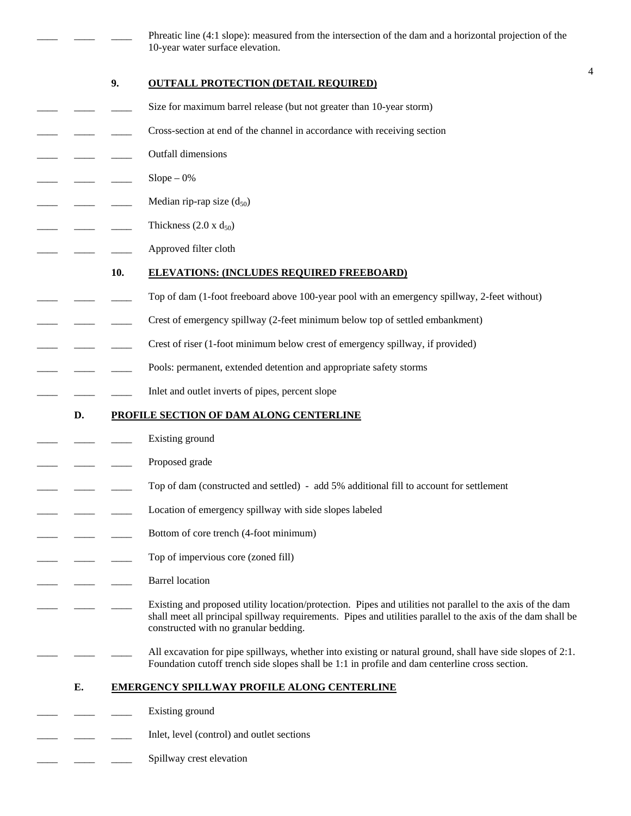Phreatic line (4:1 slope): measured from the intersection of the dam and a horizontal projection of the 10-year water surface elevation.

4

### **9. OUTFALL PROTECTION (DETAIL REQUIRED)**

- Size for maximum barrel release (but not greater than 10-year storm)
- Cross-section at end of the channel in accordance with receiving section
- \_\_\_\_ \_\_\_\_ \_\_\_\_ Outfall dimensions
- $Slope 0%$
- Median rip-rap size  $(d_{50})$ 
	- Thickness  $(2.0 \times d_{50})$
- Approved filter cloth

#### **10. ELEVATIONS: (INCLUDES REQUIRED FREEBOARD)**

- Top of dam (1-foot freeboard above 100-year pool with an emergency spillway, 2-feet without)
- Crest of emergency spillway (2-feet minimum below top of settled embankment)
- Crest of riser (1-foot minimum below crest of emergency spillway, if provided)
- Pools: permanent, extended detention and appropriate safety storms
- Inlet and outlet inverts of pipes, percent slope

#### **D. PROFILE SECTION OF DAM ALONG CENTERLINE**

- Existing ground
- Proposed grade
- Top of dam (constructed and settled) add 5% additional fill to account for settlement
- Location of emergency spillway with side slopes labeled
- Bottom of core trench (4-foot minimum)
- Top of impervious core (zoned fill)
- Barrel location
	- Existing and proposed utility location/protection. Pipes and utilities not parallel to the axis of the dam shall meet all principal spillway requirements. Pipes and utilities parallel to the axis of the dam shall be constructed with no granular bedding.
	- All excavation for pipe spillways, whether into existing or natural ground, shall have side slopes of 2:1. Foundation cutoff trench side slopes shall be 1:1 in profile and dam centerline cross section.

#### **E. EMERGENCY SPILLWAY PROFILE ALONG CENTERLINE**

- Existing ground
- Inlet, level (control) and outlet sections
- Spillway crest elevation